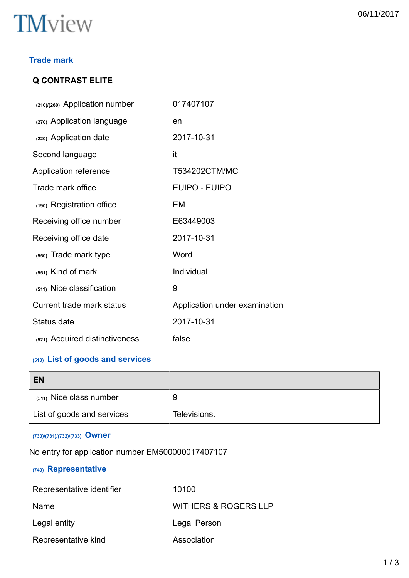# **TM**view

# **Q CONTRAST ELITE**

| (210)/(260) Application number | 017407107                     |
|--------------------------------|-------------------------------|
| (270) Application language     | en                            |
| (220) Application date         | 2017-10-31                    |
| Second language                | it                            |
| Application reference          | T534202CTM/MC                 |
| Trade mark office              | EUIPO - EUIPO                 |
| (190) Registration office      | EM                            |
| Receiving office number        | E63449003                     |
| Receiving office date          | 2017-10-31                    |
| (550) Trade mark type          | Word                          |
| $(551)$ Kind of mark           | Individual                    |
| (511) Nice classification      | 9                             |
| Current trade mark status      | Application under examination |
| Status date                    | 2017-10-31                    |
| (521) Acquired distinctiveness | false                         |

# **(510) List of goods and services**

| <b>EN</b>                  |              |
|----------------------------|--------------|
| (511) Nice class number    | У            |
| List of goods and services | Televisions. |

### **(730)/(731)/(732)/(733) Owner**

No entry for application number EM500000017407107

## **(740) Representative**

| Representative identifier | 10100                           |  |
|---------------------------|---------------------------------|--|
| Name                      | <b>WITHERS &amp; ROGERS LLP</b> |  |
| Legal entity              | Legal Person                    |  |
| Representative kind       | Association                     |  |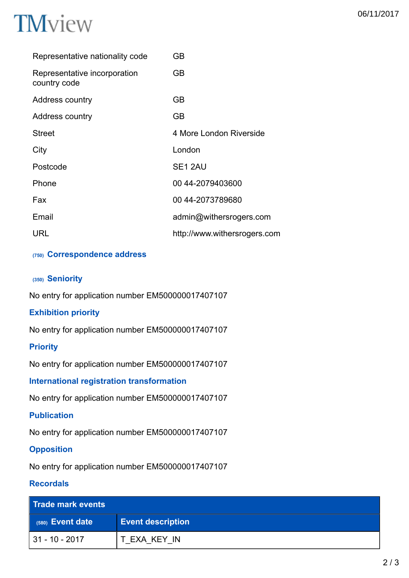

| Representative nationality code              | GВ                           |
|----------------------------------------------|------------------------------|
| Representative incorporation<br>country code | GB.                          |
| Address country                              | GВ                           |
| Address country                              | GВ                           |
| <b>Street</b>                                | 4 More London Riverside      |
| City                                         | London                       |
| Postcode                                     | SE <sub>1</sub> 2AU          |
| Phone                                        | 00 44-2079403600             |
| Fax                                          | 00 44-2073789680             |
| Email                                        | admin@withersrogers.com      |
| URL                                          | http://www.withersrogers.com |

### **(750) Correspondence address**

#### **(350) Seniority**

No entry for application number EM500000017407107

#### **Exhibition priority**

No entry for application number EM500000017407107

#### **Priority**

No entry for application number EM500000017407107

**International registration transformation**

No entry for application number EM500000017407107

#### **Publication**

No entry for application number EM500000017407107

#### **Opposition**

No entry for application number EM500000017407107

#### **Recordals**

| Trade mark events  |                          |
|--------------------|--------------------------|
| $(580)$ Event date | <b>Event description</b> |
| l 31 - 10 - 2017   | T EXA KEY IN             |